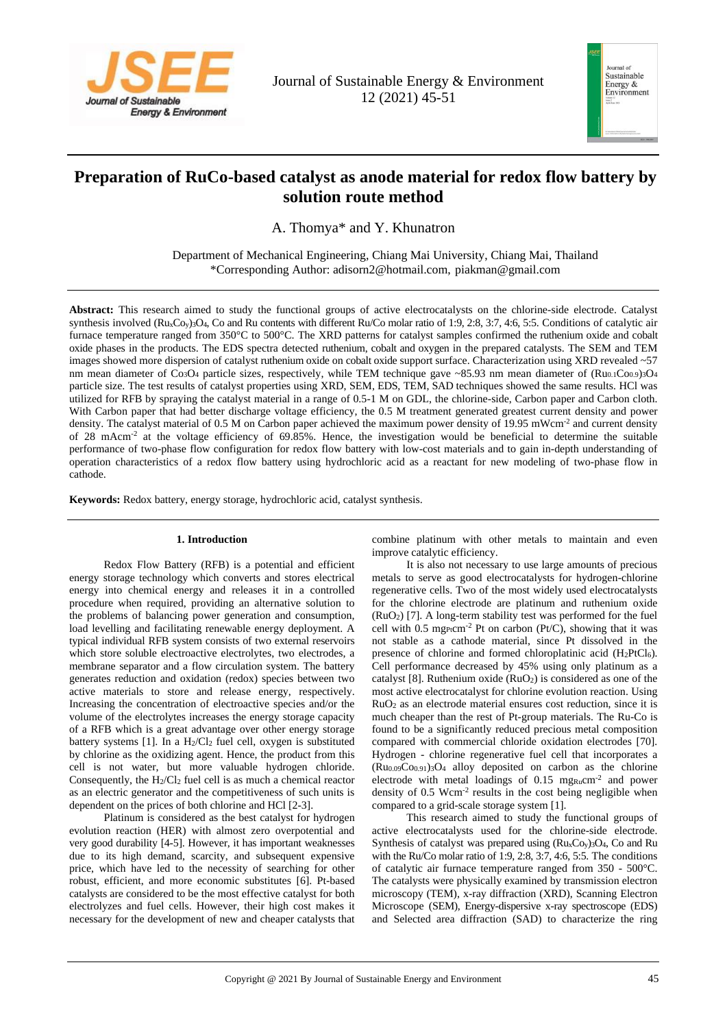

Journal of Sustainable Energy & Environment 12 (2021) 45-51



# **Preparation of RuCo-based catalyst as anode material for redox flow battery by solution route method**

A. Thomya\* and Y. Khunatron

Department of Mechanical Engineering, Chiang Mai University, Chiang Mai, Thailand \*Corresponding Author: adisorn2@hotmail.com, piakman@gmail.com

**Abstract:** This research aimed to study the functional groups of active electrocatalysts on the chlorine-side electrode. Catalyst synthesis involved  $(Ru_xC_v)_3O_4$ , Co and Ru contents with different Ru/Co molar ratio of 1:9, 2:8, 3:7, 4:6, 5:5. Conditions of catalytic air furnace temperature ranged from 350°C to 500°C. The XRD patterns for catalyst samples confirmed the ruthenium oxide and cobalt oxide phases in the products. The EDS spectra detected ruthenium, cobalt and oxygen in the prepared catalysts. The SEM and TEM images showed more dispersion of catalyst ruthenium oxide on cobalt oxide support surface. Characterization using XRD revealed ~57 nm mean diameter of  $Co<sub>3</sub>O<sub>4</sub>$  particle sizes, respectively, while TEM technique gave ~85.93 nm mean diameter of  $(Ru<sub>0.1</sub>Co<sub>0.9</sub>)<sub>3</sub>O<sub>4</sub>$ particle size. The test results of catalyst properties using XRD, SEM, EDS, TEM, SAD techniques showed the same results. HCl was utilized for RFB by spraying the catalyst material in a range of 0.5-1 M on GDL, the chlorine-side, Carbon paper and Carbon cloth. With Carbon paper that had better discharge voltage efficiency, the 0.5 M treatment generated greatest current density and power density. The catalyst material of 0.5 M on Carbon paper achieved the maximum power density of 19.95 mWcm<sup>-2</sup> and current density of 28 mAcm<sup>-2</sup> at the voltage efficiency of 69.85%. Hence, the investigation would be beneficial to determine the suitable performance of two-phase flow configuration for redox flow battery with low-cost materials and to gain in-depth understanding of operation characteristics of a redox flow battery using hydrochloric acid as a reactant for new modeling of two-phase flow in cathode.

**Keywords:** Redox battery, energy storage, hydrochloric acid, catalyst synthesis.

# **1. Introduction**

Redox Flow Battery (RFB) is a potential and efficient energy storage technology which converts and stores electrical energy into chemical energy and releases it in a controlled procedure when required, providing an alternative solution to the problems of balancing power generation and consumption, load levelling and facilitating renewable energy deployment. A typical individual RFB system consists of two external reservoirs which store soluble electroactive electrolytes, two electrodes, a membrane separator and a flow circulation system. The battery generates reduction and oxidation (redox) species between two active materials to store and release energy, respectively. Increasing the concentration of electroactive species and/or the volume of the electrolytes increases the energy storage capacity of a RFB which is a great advantage over other energy storage battery systems [1]. In a  $H_2/Cl_2$  fuel cell, oxygen is substituted by chlorine as the oxidizing agent. Hence, the product from this cell is not water, but more valuable hydrogen chloride. Consequently, the H2/Cl<sup>2</sup> fuel cell is as much a chemical reactor as an electric generator and the competitiveness of such units is dependent on the prices of both chlorine and HCl [2-3].

Platinum is considered as the best catalyst for hydrogen evolution reaction (HER) with almost zero overpotential and very good durability [4-5]. However, it has important weaknesses due to its high demand, scarcity, and subsequent expensive price, which have led to the necessity of searching for other robust, efficient, and more economic substitutes [6]. Pt-based catalysts are considered to be the most effective catalyst for both electrolyzes and fuel cells. However, their high cost makes it necessary for the development of new and cheaper catalysts that

combine platinum with other metals to maintain and even improve catalytic efficiency.

It is also not necessary to use large amounts of precious metals to serve as good electrocatalysts for hydrogen-chlorine regenerative cells. Two of the most widely used electrocatalysts for the chlorine electrode are platinum and ruthenium oxide (RuO2) [7]. A long-term stability test was performed for the fuel cell with 0.5 mg<sub>Pt</sub>cm<sup>-2</sup> Pt on carbon (Pt/C), showing that it was not stable as a cathode material, since Pt dissolved in the presence of chlorine and formed chloroplatinic acid (H<sub>2</sub>PtCl<sub>6</sub>). Cell performance decreased by 45% using only platinum as a catalyst [8]. Ruthenium oxide (RuO2) is considered as one of the most active electrocatalyst for chlorine evolution reaction. Using RuO<sup>2</sup> as an electrode material ensures cost reduction, since it is much cheaper than the rest of Pt-group materials. The Ru-Co is found to be a significantly reduced precious metal composition compared with commercial chloride oxidation electrodes [70]. Hydrogen - chlorine regenerative fuel cell that incorporates a  $(Ru_{0.09}Co_{0.91})_3O_4$  alloy deposited on carbon as the chlorine electrode with metal loadings of  $0.15$  mg<sub>Ru</sub>cm<sup>-2</sup> and power density of 0.5 Wcm<sup>-2</sup> results in the cost being negligible when compared to a grid-scale storage system [1].

This research aimed to study the functional groups of active electrocatalysts used for the chlorine-side electrode. Synthesis of catalyst was prepared using  $(Ru<sub>x</sub>C<sub>0y</sub>)<sub>3</sub>O<sub>4</sub>$ , Co and Ru with the Ru/Co molar ratio of 1:9, 2:8, 3:7, 4:6, 5:5. The conditions of catalytic air furnace temperature ranged from 350 - 500°C. The catalysts were physically examined by transmission electron microscopy (TEM), x-ray diffraction (XRD), Scanning Electron Microscope (SEM), Energy-dispersive x-ray spectroscope (EDS) and Selected area diffraction (SAD) to characterize the ring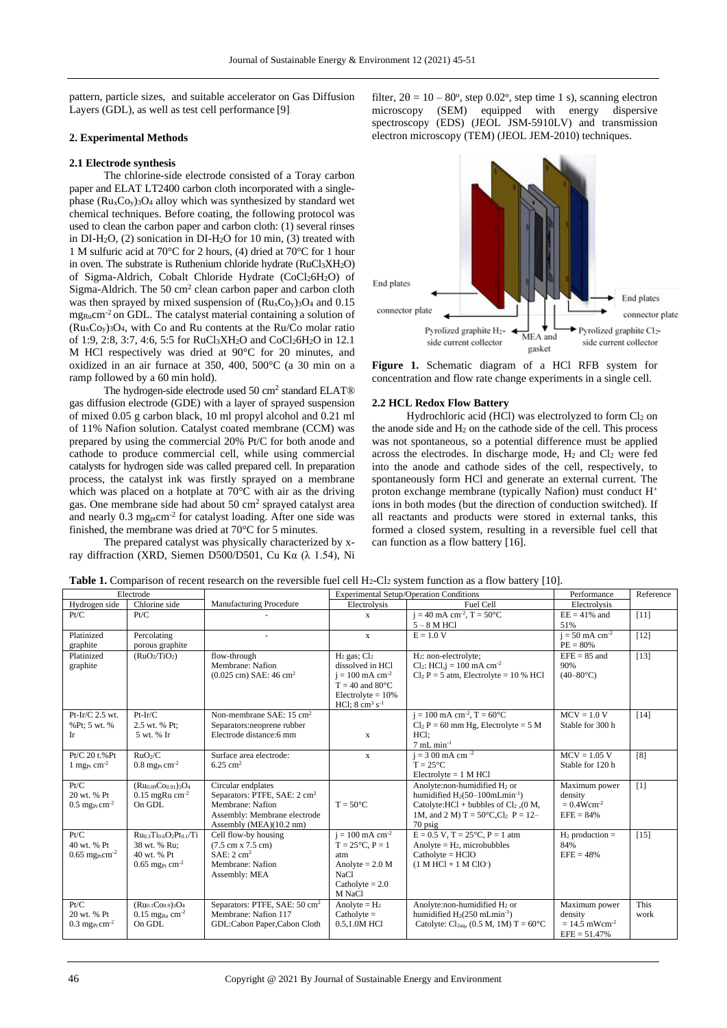pattern, particle sizes, and suitable accelerator on Gas Diffusion Layers (GDL), as well as test cell performance [9].

# **2. Experimental Methods**

## **2.1 Electrode synthesis**

The chlorine-side electrode consisted of a Toray carbon paper and ELAT LT2400 carbon cloth incorporated with a singlephase  $(Ru_xCo_y)$ <sub>3</sub>O<sub>4</sub> alloy which was synthesized by standard wet chemical techniques. Before coating, the following protocol was used to clean the carbon paper and carbon cloth: (1) several rinses in DI-H2O, (2) sonication in DI-H2O for 10 min, (3) treated with 1 M sulfuric acid at 70°C for 2 hours, (4) dried at 70°C for 1 hour in oven. The substrate is Ruthenium chloride hydrate  $(RuCl_3XH_2O)$ of Sigma-Aldrich, Cobalt Chloride Hydrate (CoCl26H2O) of Sigma-Aldrich. The 50 cm<sup>2</sup> clean carbon paper and carbon cloth was then sprayed by mixed suspension of  $(Ru<sub>x</sub>C<sub>0y</sub>)<sub>3</sub>O<sub>4</sub>$  and 0.15 mg<sub>Ru</sub>cm<sup>-2</sup> on GDL. The catalyst material containing a solution of  $(Ru<sub>x</sub>Co<sub>y</sub>)<sub>3</sub>O<sub>4</sub>$ , with Co and Ru contents at the Ru/Co molar ratio of 1:9, 2:8, 3:7, 4:6, 5:5 for RuCl3XH2O and CoCl26H2O in 12.1 M HCl respectively was dried at 90°C for 20 minutes, and oxidized in an air furnace at 350, 400, 500°C (a 30 min on a ramp followed by a 60 min hold).

The hydrogen-side electrode used 50 cm<sup>2</sup> standard ELAT® gas diffusion electrode (GDE) with a layer of sprayed suspension of mixed 0.05 g carbon black, 10 ml propyl alcohol and 0.21 ml of 11% Nafion solution. Catalyst coated membrane (CCM) was prepared by using the commercial 20% Pt/C for both anode and cathode to produce commercial cell, while using commercial catalysts for hydrogen side was called prepared cell. In preparation process, the catalyst ink was firstly sprayed on a membrane which was placed on a hotplate at 70°C with air as the driving gas. One membrane side had about 50 cm<sup>2</sup> sprayed catalyst area and nearly 0.3 mg<sub>pt</sub>cm<sup>-2</sup> for catalyst loading. After one side was finished, the membrane was dried at 70°C for 5 minutes.

The prepared catalyst was physically characterized by xray diffraction (XRD, Siemen D500/D501, Cu Kα (λ 1.54), Ni

filter,  $2\theta = 10 - 80^{\circ}$ , step 0.02°, step time 1 s), scanning electron microscopy (SEM) equipped with energy dispersive spectroscopy (EDS) (JEOL JSM-5910LV) and transmission electron microscopy (TEM) (JEOL JEM-2010) techniques.



**Figure 1.** Schematic diagram of a HCl RFB system for concentration and flow rate change experiments in a single cell.

## **2.2 HCL Redox Flow Battery**

Hydrochloric acid (HCl) was electrolyzed to form Cl<sub>2</sub> on the anode side and  $H_2$  on the cathode side of the cell. This process was not spontaneous, so a potential difference must be applied across the electrodes. In discharge mode, H<sup>2</sup> and Cl<sup>2</sup> were fed into the anode and cathode sides of the cell, respectively, to spontaneously form HCl and generate an external current. The proton exchange membrane (typically Nafion) must conduct H<sup>+</sup> ions in both modes (but the direction of conduction switched). If all reactants and products were stored in external tanks, this formed a closed system, resulting in a reversible fuel cell that can function as a flow battery [16].

| Electrode                                |                                                    | <b>Experimental Setup/Operation Conditions</b>                    |                                                                 | Performance                                                                          | Reference                              |              |
|------------------------------------------|----------------------------------------------------|-------------------------------------------------------------------|-----------------------------------------------------------------|--------------------------------------------------------------------------------------|----------------------------------------|--------------|
| Hydrogen side                            | Chlorine side                                      | <b>Manufacturing Procedure</b>                                    | Electrolysis                                                    | Fuel Cell                                                                            | Electrolysis                           |              |
| Pt/C                                     | Pt/C                                               |                                                                   | $\mathbf{x}$                                                    | $i = 40$ mA cm <sup>-2</sup> , T = 50°C                                              | $EE = 41\%$ and                        | [11]         |
|                                          |                                                    |                                                                   |                                                                 | $5 - 8$ M HCl                                                                        | 51%                                    |              |
| Platinized                               | Percolating                                        |                                                                   | $\mathbf{x}$                                                    | $E = 1.0 V$                                                                          | $i = 50$ mA cm <sup>-2</sup>           | $[12]$       |
| graphite                                 | porous graphite                                    |                                                                   |                                                                 |                                                                                      | $PE = 80%$                             |              |
| Platinized                               | (RuO <sub>2</sub> /TiO <sub>2</sub> )              | flow-through                                                      | $H_2$ gas; $Cl_2$                                               | H <sub>2</sub> : non-electrolyte;                                                    | $EFE = 85$ and                         | $[13]$       |
| graphite                                 |                                                    | Membrane: Nafion                                                  | dissolved in HCl                                                | Cl <sub>2</sub> : HCl <sub>1</sub> $= 100$ mA cm <sup>-2</sup>                       | 90%                                    |              |
|                                          |                                                    | $(0.025 \text{ cm})$ SAE: 46 cm <sup>2</sup>                      | $i = 100$ mA cm <sup>-2</sup>                                   | $Cl2 P = 5 atm$ , Electrolyte = 10 % HCl                                             | $(40-80\degree C)$                     |              |
|                                          |                                                    |                                                                   | $T = 40$ and 80 $^{\circ}$ C                                    |                                                                                      |                                        |              |
|                                          |                                                    |                                                                   | $Electro$ lyte = $10\%$<br>HCl; $8 \text{ cm}^3 \text{ s}^{-1}$ |                                                                                      |                                        |              |
| $Pt-Ir/C$ 2.5 wt.                        | $Pt-Ir/C$                                          | Non-membrane SAE: 15 cm <sup>2</sup>                              |                                                                 | $j = 100$ mA cm <sup>-2</sup> , T = 60 $^{\circ}$ C                                  | $MCV = 1.0 V$                          | $[14]$       |
| %Pt: 5 wt. %                             | 2.5 wt. % Pt:                                      | Separators: neoprene rubber                                       |                                                                 | $Cl2 P = 60$ mm Hg, Electrolyte = 5 M                                                | Stable for 300 h                       |              |
| Ir                                       | 5 wt. % Ir                                         | Electrode distance:6 mm                                           | $\mathbf{x}$                                                    | HCl:                                                                                 |                                        |              |
|                                          |                                                    |                                                                   |                                                                 | $7$ mL min <sup>-1</sup>                                                             |                                        |              |
| $Pt/C$ 20 t.% $Pt$                       | RuO <sub>2</sub> /C                                | Surface area electrode:                                           | $\mathbf{x}$                                                    | $i = 300$ mA cm <sup>-2</sup>                                                        | $MCV = 1.05 V$                         | [8]          |
| 1 mg <sub>Pt</sub> cm <sup>-2</sup>      | $0.8$ mg <sub>Pt</sub> cm <sup>-2</sup>            | $6.25 \text{ cm}^2$                                               |                                                                 | $T = 25^{\circ}C$                                                                    | Stable for 120 h                       |              |
|                                          |                                                    |                                                                   |                                                                 | $Electrolyte = 1 M HCl$                                                              |                                        |              |
| Pt/C                                     | $(Ru_{0.09}Co_{0.91})_3O_4$                        | Circular endplates                                                |                                                                 | Anolyte:non-humidified H <sub>2</sub> or                                             | Maximum power                          | [1]          |
| 20 wt. % Pt                              | $0.15$ mgRu cm <sup>-2</sup>                       | Separators: PTFE, SAE: 2 cm <sup>2</sup>                          |                                                                 | humidified $H_2(50-100mLmin^{-1})$                                                   | density                                |              |
| $0.5$ mg <sub>Pt</sub> cm <sup>-2</sup>  | On GDL                                             | Membrane: Nafion                                                  | $T = 50^{\circ}C$                                               | Catolyte: HCl + bubbles of $Cl_2$ , (0 M,                                            | $= 0.4 W cm^{-2}$                      |              |
|                                          |                                                    | Assembly: Membrane electrode                                      |                                                                 | 1M, and 2 M) T = $50^{\circ}$ C,Cl <sub>2</sub> P = 12-                              | $EFE = 84%$                            |              |
|                                          |                                                    | Assembly (MEA)(10.2 nm)                                           |                                                                 | 70 psig                                                                              |                                        |              |
| Pt/C                                     | $Ru03Ti06O2Pt0/Ti$                                 | Cell flow-by housing                                              | $i = 100$ mA cm <sup>-2</sup>                                   | $E = 0.5$ V, $T = 25$ °C, $P = 1$ atm                                                | $H_2$ production =                     | $[15]$       |
| 40 wt. % Pt                              | 38 wt. % Ru;                                       | $(7.5 \text{ cm} \times 7.5 \text{ cm})$                          | $T = 25^{\circ}C, P = 1$                                        | Anolyte = $H_2$ , microbubbles                                                       | 84%                                    |              |
| $0.65$ mg <sub>Pt</sub> cm <sup>-2</sup> | 40 wt. % Pt                                        | SAE: 2 cm <sup>2</sup>                                            | atm                                                             | $Catholyte = HCIO$                                                                   | $EFE = 48%$                            |              |
|                                          | $0.65$ mg <sub>Pt</sub> cm <sup>-2</sup>           | Membrane: Nafion                                                  | Anolyte $= 2.0 M$                                               | $(1 M HCl + 1 M ClO)$                                                                |                                        |              |
|                                          |                                                    | Assembly: MEA                                                     | NaCl                                                            |                                                                                      |                                        |              |
|                                          |                                                    |                                                                   | Catholyte $= 2.0$                                               |                                                                                      |                                        |              |
|                                          |                                                    |                                                                   | M NaCl                                                          |                                                                                      |                                        |              |
| Pt/C<br>20 wt. % Pt                      | $(Ru_{0.1}Co_{0.9})_3O_4$                          | Separators: PTFE, SAE: 50 cm <sup>2</sup><br>Membrane: Nafion 117 | Anolyte = $H_2$                                                 | Anolyte:non-humidified H <sub>2</sub> or<br>humidified $H_2(250 \text{ mLmin}^{-1})$ | Maximum power                          | This<br>work |
|                                          | $0.15$ mg <sub>Ru</sub> cm <sup>-2</sup><br>On GDL |                                                                   | $Catholyte =$<br>0.5,1.0M HCl                                   | Catolyte: $Cl_{2a0}$ , (0.5 M, 1M) T = 60°C                                          | density<br>$= 14.5$ mWcm <sup>-2</sup> |              |
| $0.3$ mg <sub>Pt</sub> cm <sup>-2</sup>  |                                                    | GDL:Cabon Paper,Cabon Cloth                                       |                                                                 |                                                                                      | $EFE = 51.47%$                         |              |
|                                          |                                                    |                                                                   |                                                                 |                                                                                      |                                        |              |

Table 1. Comparison of recent research on the reversible fuel cell H<sub>2</sub>-Cl<sub>2</sub> system function as a flow battery [10].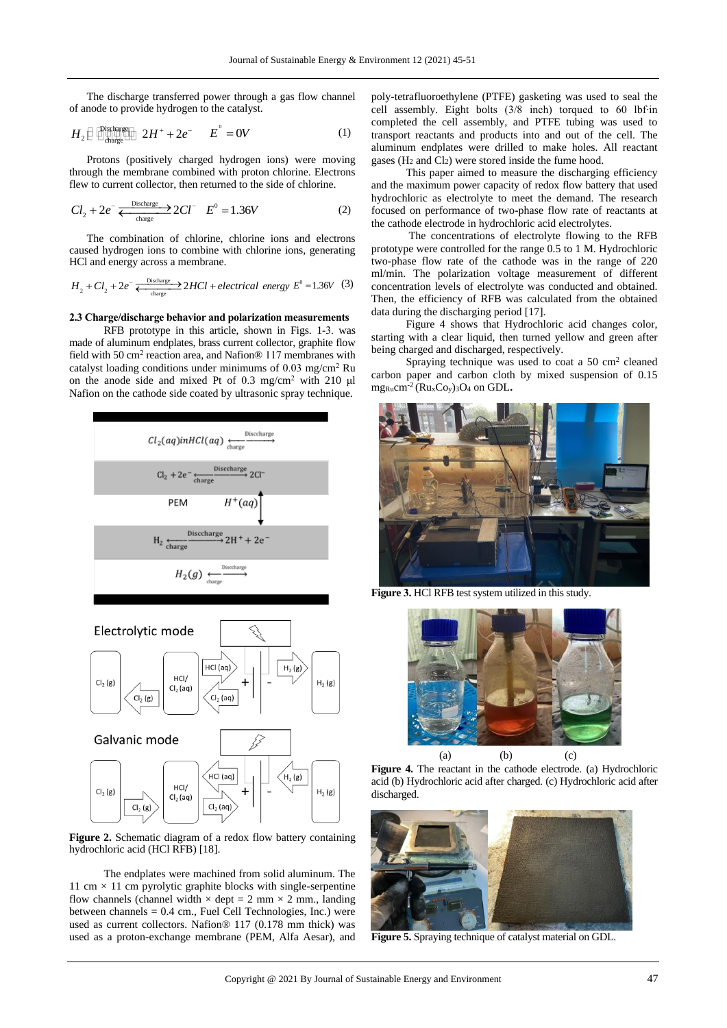The discharge transferred power through a gas flow channel of anode to provide hydrogen to the catalyst.

$$
H_2 \boxminus \bigoplus_{\substack{\text{Cl}: \text{thinspace} \\ \text{charge}}} \bigoplus_{\substack{\text{Cl}: \text{thinspace} \\ \text{Chargel}}} 2H^+ + 2e^- \qquad E^\circ = 0V \tag{1}
$$

Protons (positively charged hydrogen ions) were moving through the membrane combined with proton chlorine. Electrons flew to current collector, then returned to the side of chlorine.

$$
Cl_2 + 2e^- \xleftarrow{\text{Discharge}} 2Cl^- \quad E^0 = 1.36V \tag{2}
$$

The combination of chlorine, chlorine ions and electrons caused hydrogen ions to combine with chlorine ions, generating HCl and energy across a membrane.

$$
H_2 + Cl_2 + 2e^- \xleftarrow{\text{Distance} \atop \text{charge}} 2HCl + electrical\ energy E^0 = 1.36V \tag{3}
$$

#### **2.3 Charge/discharge behavior and polarization measurements**

RFB prototype in this article, shown in Figs. 1-3. was made of aluminum endplates, brass current collector, graphite flow field with 50 cm<sup>2</sup> reaction area, and Nafion® 117 membranes with catalyst loading conditions under minimums of 0.03 mg/cm<sup>2</sup> Ru on the anode side and mixed Pt of 0.3 mg/cm<sup>2</sup> with 210 μl Nafion on the cathode side coated by ultrasonic spray technique.



**Figure 2.** Schematic diagram of a redox flow battery containing hydrochloric acid (HCl RFB) [18].

The endplates were machined from solid aluminum. The 11 cm  $\times$  11 cm pyrolytic graphite blocks with single-serpentine flow channels (channel width  $\times$  dept = 2 mm  $\times$  2 mm., landing between channels = 0.4 cm., Fuel Cell Technologies, Inc.) were used as current collectors. Nafion® 117 (0.178 mm thick) was used as a proton-exchange membrane (PEM, Alfa Aesar), and poly-tetrafluoroethylene (PTFE) gasketing was used to seal the cell assembly. Eight bolts (3/8 inch) torqued to 60 lbf∙in completed the cell assembly, and PTFE tubing was used to transport reactants and products into and out of the cell. The aluminum endplates were drilled to make holes. All reactant gases (H<sup>2</sup> and Cl2) were stored inside the fume hood.

This paper aimed to measure the discharging efficiency and the maximum power capacity of redox flow battery that used hydrochloric as electrolyte to meet the demand. The research focused on performance of two-phase flow rate of reactants at the cathode electrode in hydrochloric acid electrolytes.

The concentrations of electrolyte flowing to the RFB prototype were controlled for the range 0.5 to 1 M. Hydrochloric two-phase flow rate of the cathode was in the range of 220 ml/min. The polarization voltage measurement of different concentration levels of electrolyte was conducted and obtained. Then, the efficiency of RFB was calculated from the obtained data during the discharging period [17].

Figure 4 shows that Hydrochloric acid changes color, starting with a clear liquid, then turned yellow and green after being charged and discharged, respectively.

Spraying technique was used to coat a  $50 \text{ cm}^2$  cleaned carbon paper and carbon cloth by mixed suspension of 0.15 mgRucm-2 (RuxCoy)3O<sup>4</sup> on GDL**.**



**Figure 3.** HCl RFB test system utilized in this study.



**Figure 4.** The reactant in the cathode electrode. (a) Hydrochloric acid (b) Hydrochloric acid after charged. (c) Hydrochloric acid after discharged.



**Figure 5.** Spraying technique of catalyst material on GDL.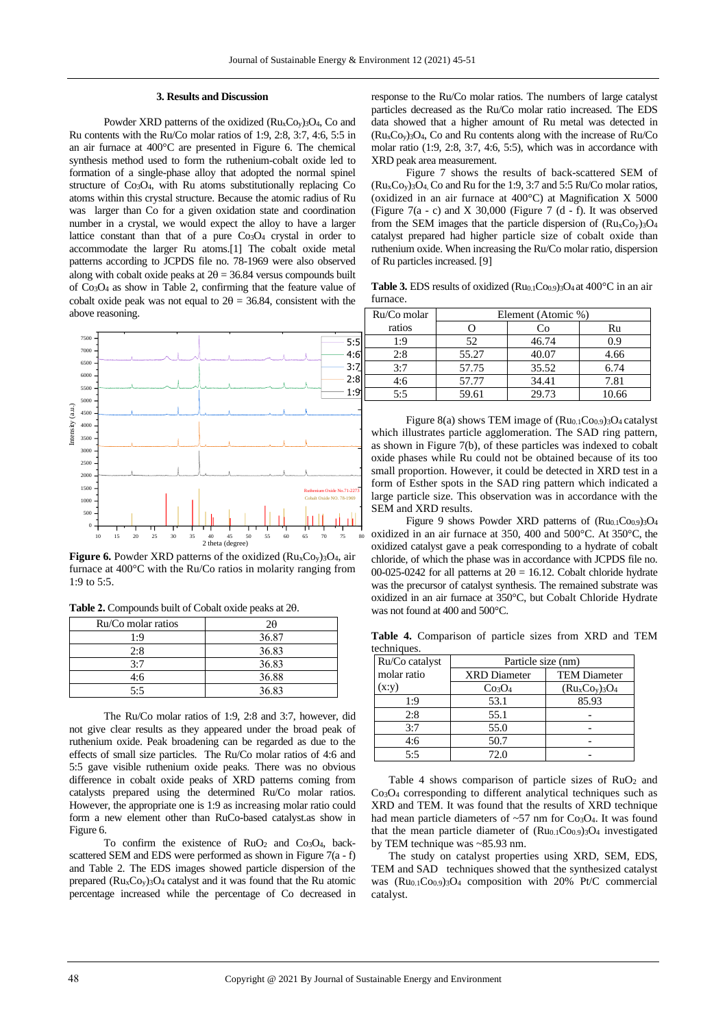#### **3. Results and Discussion**

Powder XRD patterns of the oxidized  $(Ru<sub>x</sub>Co<sub>y</sub>)<sub>3</sub>O<sub>4</sub>$ , Co and Ru contents with the Ru/Co molar ratios of 1:9, 2:8, 3:7, 4:6, 5:5 in an air furnace at 400°C are presented in Figure 6. The chemical synthesis method used to form the ruthenium-cobalt oxide led to formation of a single-phase alloy that adopted the normal spinel structure of Co3O4, with Ru atoms substitutionally replacing Co atoms within this crystal structure. Because the atomic radius of Ru was larger than Co for a given oxidation state and coordination number in a crystal, we would expect the alloy to have a larger lattice constant than that of a pure Co3O<sup>4</sup> crystal in order to accommodate the larger Ru atoms.[1] The cobalt oxide metal patterns according to JCPDS file no. 78-1969 were also observed along with cobalt oxide peaks at  $2\theta = 36.84$  versus compounds built of Co3O<sup>4</sup> as show in Table 2, confirming that the feature value of cobalt oxide peak was not equal to  $2\theta = 36.84$ , consistent with the above reasoning.



**Figure 6.** Powder XRD patterns of the oxidized (Ru<sub>x</sub>Co<sub>y</sub>)<sub>3</sub>O<sub>4</sub>, air furnace at 400°C with the Ru/Co ratios in molarity ranging from 1:9 to 5:5.

Table 2. Compounds built of Cobalt oxide peaks at 20.

| Ru/Co molar ratios | 2θ    |
|--------------------|-------|
| 1:9                | 36.87 |
| 2:8                | 36.83 |
| 3:7                | 36.83 |
| 4:6                | 36.88 |
| 5.5                | 36.83 |

The Ru/Co molar ratios of 1:9, 2:8 and 3:7, however, did not give clear results as they appeared under the broad peak of ruthenium oxide. Peak broadening can be regarded as due to the effects of small size particles. The Ru/Co molar ratios of 4:6 and 5:5 gave visible ruthenium oxide peaks. There was no obvious difference in cobalt oxide peaks of XRD patterns coming from catalysts prepared using the determined Ru/Co molar ratios. However, the appropriate one is 1:9 as increasing molar ratio could form a new element other than RuCo-based catalyst.as show in Figure 6.

To confirm the existence of  $RuO<sub>2</sub>$  and  $Co<sub>3</sub>O<sub>4</sub>$ , backscattered SEM and EDS were performed as shown in Figure 7(a - f) and Table 2. The EDS images showed particle dispersion of the prepared  $(Ru<sub>x</sub>C<sub>0v</sub>)<sub>3</sub>O<sub>4</sub>$  catalyst and it was found that the Ru atomic percentage increased while the percentage of Co decreased in

response to the Ru/Co molar ratios. The numbers of large catalyst particles decreased as the Ru/Co molar ratio increased. The EDS data showed that a higher amount of Ru metal was detected in (RuxCoy)3O4, Co and Ru contents along with the increase of Ru/Co molar ratio (1:9, 2:8, 3:7, 4:6, 5:5), which was in accordance with XRD peak area measurement.

Figure 7 shows the results of back-scattered SEM of  $(Ru<sub>x</sub>Co<sub>y</sub>)<sub>3</sub>O<sub>4</sub>$ , Co and Ru for the 1:9, 3:7 and 5:5 Ru/Co molar ratios, (oxidized in an air furnace at 400°C) at Magnification X 5000 (Figure  $7(a - c)$  and X 30,000 (Figure 7  $(d - f)$ ). It was observed from the SEM images that the particle dispersion of  $(Ru<sub>x</sub>Co<sub>y</sub>)<sub>3</sub>O<sub>4</sub>$ catalyst prepared had higher particle size of cobalt oxide than ruthenium oxide. When increasing the Ru/Co molar ratio, dispersion of Ru particles increased. [9]

**Table 3.** EDS results of oxidized (Ru0.1Co0.9)3O<sub>4</sub> at 400°C in an air furnace.

|        | Ru/Co molar | Element (Atomic %) |       |       |
|--------|-------------|--------------------|-------|-------|
|        | ratios      |                    | Cо    | Ru    |
| $-5:5$ | ۰.9         | 52                 | 46.74 | 0.9   |
| $-4:6$ | 2:8         | 55.27              | 40.07 | 4.66  |
| 3:7    | 3:7         | 57.75              | 35.52 | 6.74  |
| 2:8    | 4:6         | 57.77              | 34.41 | 7.81  |
| 1:9    | 5:5         | 59.61              | 29.73 | 10.66 |

Ruthenium Oxide No.71-2273 and accordance with the column oxide No.71-2273 and accordance with the Figure 8(a) shows TEM image of (Ru0.1Co0.9)3O4 catalyst which illustrates particle agglomeration. The SAD ring pattern, as shown in Figure 7(b), of these particles was indexed to cobalt oxide phases while Ru could not be obtained because of its too small proportion. However, it could be detected in XRD test in a form of Esther spots in the SAD ring pattern which indicated a SEM and XRD results.

 $\frac{1}{10}$  15  $\frac{1}{20}$  25 30 35 40 45 50  $\frac{1}{20}$  35 60  $\frac{1}{65}$  70  $\frac{1}{20}$  35  $\frac{1}{80}$  oxidized in an air furnace at 350, 400 and 500°C. At 350°C, the Figure 9 shows Powder XRD patterns of  $(Ru_{0.1}Co_{0.9})_3O_4$ oxidized catalyst gave a peak corresponding to a hydrate of cobalt chloride, of which the phase was in accordance with JCPDS file no. 00-025-0242 for all patterns at  $2\theta = 16.12$ . Cobalt chloride hydrate was the precursor of catalyst synthesis. The remained substrate was oxidized in an air furnace at 350°C, but Cobalt Chloride Hydrate was not found at 400 and 500°C.

**Table 4.** Comparison of particle sizes from XRD and TEM techniques.

| Ru/Co catalyst | Particle size (nm)             |                     |  |  |
|----------------|--------------------------------|---------------------|--|--|
| molar ratio    | <b>XRD</b> Diameter            | <b>TEM Diameter</b> |  |  |
| (x:y)          | Co <sub>3</sub> O <sub>4</sub> | $(RuxCoy)3O4$       |  |  |
| 1:9            | 53.1                           | 85.93               |  |  |
| 2:8            | 55.1                           |                     |  |  |
| 3:7            | 55.0                           |                     |  |  |
| 4:6            | 50.7                           |                     |  |  |
| 5:5            | 72.0                           |                     |  |  |

Table 4 shows comparison of particle sizes of  $RuO<sub>2</sub>$  and Co3O<sup>4</sup> corresponding to different analytical techniques such as XRD and TEM. It was found that the results of XRD technique had mean particle diameters of  $\sim 57$  nm for Co<sub>3</sub>O<sub>4</sub>. It was found that the mean particle diameter of  $(Ru_{0.1}Co_{0.9})$ <sub>3</sub>O<sub>4</sub> investigated by TEM technique was ~85.93 nm.

The study on catalyst properties using XRD, SEM, EDS, TEM and SAD techniques showed that the synthesized catalyst was (Ru0.1Co0.9)3O<sup>4</sup> composition with 20% Pt/C commercial catalyst.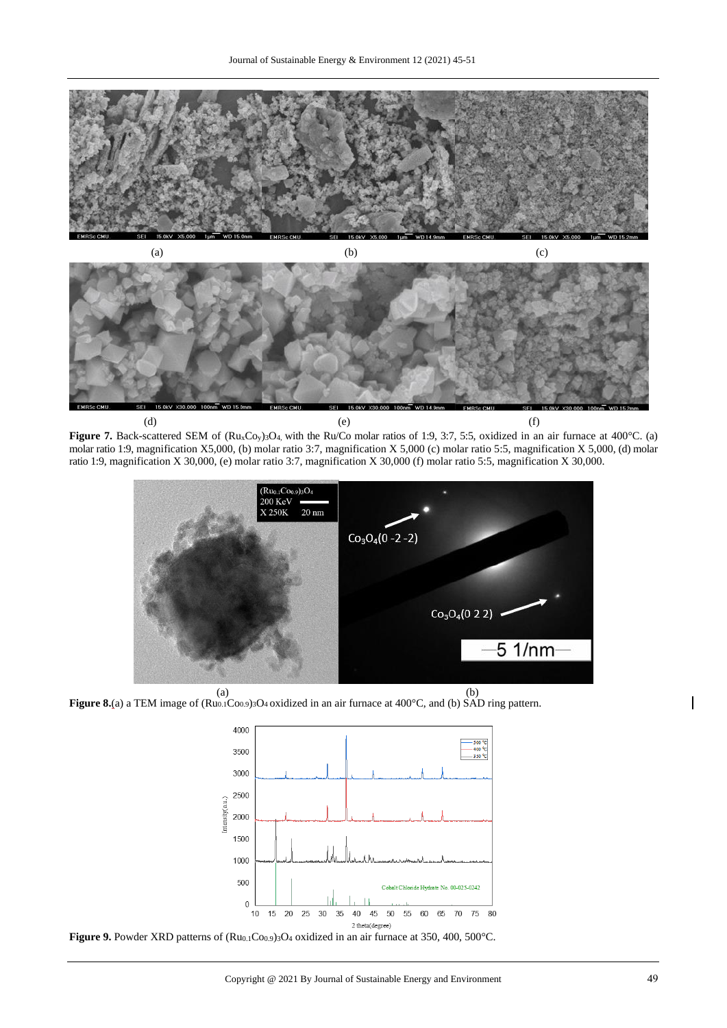

**Figure 7.** Back-scattered SEM of (Ru<sub>x</sub>Co<sub>y</sub>)<sub>3</sub>O<sub>4</sub>, with the Ru/Co molar ratios of 1:9, 3:7, 5:5, oxidized in an air furnace at 400°C. (a) molar ratio 1:9, magnification X5,000, (b) molar ratio 3:7, magnification X 5,000 (c) molar ratio 5:5, magnification X 5,000, (d) molar ratio 1:9, magnification X 30,000, (e) molar ratio 3:7, magnification X 30,000 (f) molar ratio 5:5, magnification X 30,000.



**Figure 8.**(a) a TEM image of (Ru0.1Co0.9)3O4 oxidized in an air furnace at 400°C, and (b) SAD ring pattern.



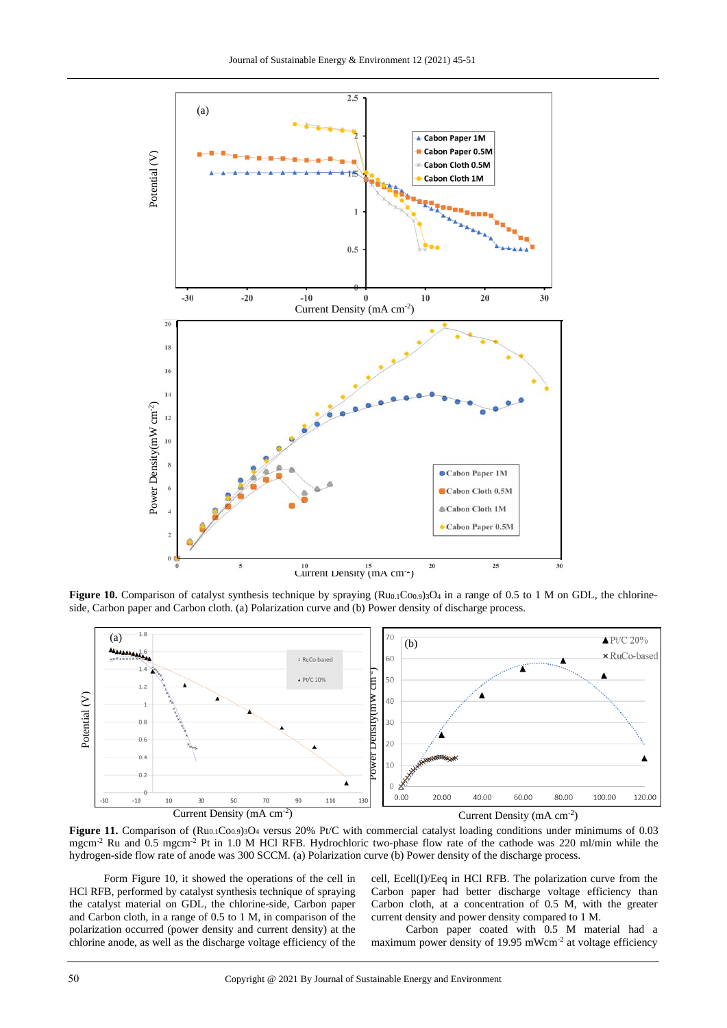

**Figure 10.** Comparison of catalyst synthesis technique by spraying  $(Ru_{0.1}Co_{0.9})$ <sub>3</sub>O<sub>4</sub> in a range of 0.5 to 1 M on GDL, the chlorineside, Carbon paper and Carbon cloth. (a) Polarization curve and (b) Power density of discharge process.



Figure 11. Comparison of (Ru<sub>0.1</sub>Co<sub>0.9</sub>)<sub>3</sub>O<sub>4</sub> versus 20% Pt/C with commercial catalyst loading conditions under minimums of 0.03 mgcm<sup>-2</sup> Ru and 0.5 mgcm<sup>-2</sup> Pt in 1.0 M HCl RFB. Hydrochloric two-phase flow rate of the cathode was 220 ml/min while the hydrogen-side flow rate of anode was 300 SCCM. (a) Polarization curve (b) Power density of the discharge process.

Form Figure 10, it showed the operations of the cell in HCl RFB, performed by catalyst synthesis technique of spraying the catalyst material on GDL, the chlorine-side, Carbon paper and Carbon cloth, in a range of 0.5 to 1 M, in comparison of the polarization occurred (power density and current density) at the chlorine anode, as well as the discharge voltage efficiency of the

cell, Ecell(I)/Eeq in HCl RFB. The polarization curve from the Carbon paper had better discharge voltage efficiency than Carbon cloth, at a concentration of 0.5 M, with the greater current density and power density compared to 1 M.

Carbon paper coated with 0.5 M material had a maximum power density of 19.95 mWcm<sup>-2</sup> at voltage efficiency